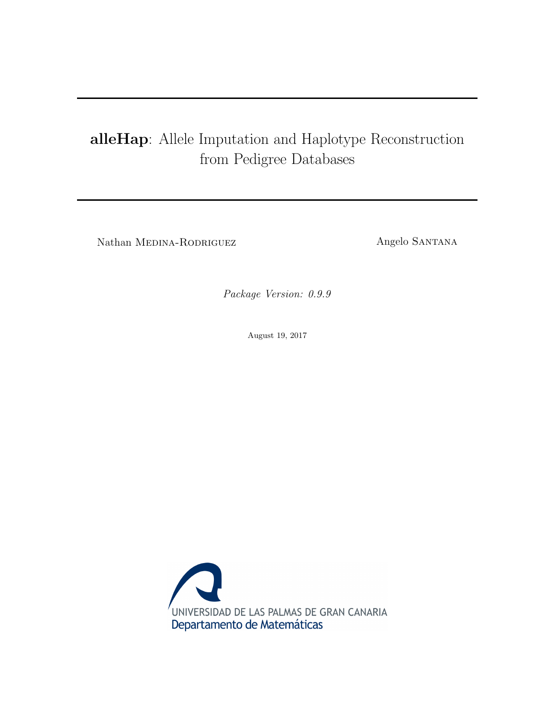# alleHap: Allele Imputation and Haplotype Reconstruction from Pedigree Databases

Nathan Medina-Rodriguez Angelo Santana

Package Version: 0.9.9

August 19, 2017

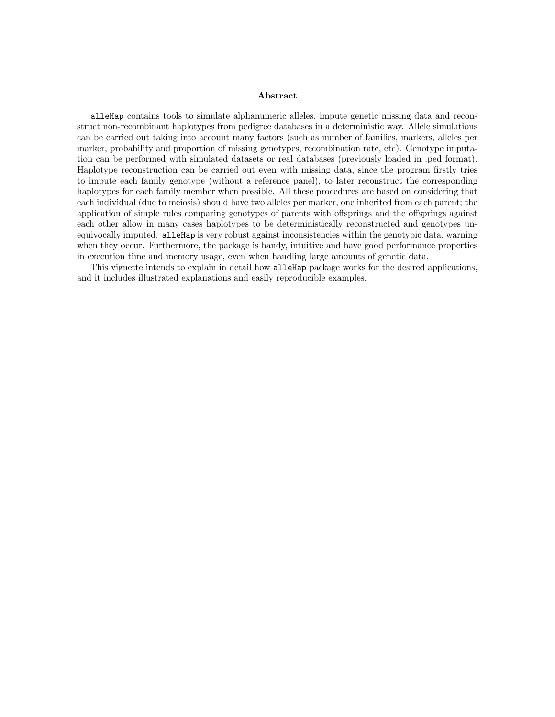#### Abstract

alleHap contains tools to simulate alphanumeric alleles, impute genetic missing data and reconstruct non-recombinant haplotypes from pedigree databases in a deterministic way. Allele simulations can be carried out taking into account many factors (such as number of families, markers, alleles per marker, probability and proportion of missing genotypes, recombination rate, etc). Genotype imputation can be performed with simulated datasets or real databases (previously loaded in .ped format). Haplotype reconstruction can be carried out even with missing data, since the program firstly tries to impute each family genotype (without a reference panel), to later reconstruct the corresponding haplotypes for each family member when possible. All these procedures are based on considering that each individual (due to meiosis) should have two alleles per marker, one inherited from each parent; the application of simple rules comparing genotypes of parents with offsprings and the offsprings against each other allow in many cases haplotypes to be deterministically reconstructed and genotypes unequivocally imputed. alleHap is very robust against inconsistencies within the genotypic data, warning when they occur. Furthermore, the package is handy, intuitive and have good performance properties in execution time and memory usage, even when handling large amounts of genetic data.

This vignette intends to explain in detail how alleHap package works for the desired applications, and it includes illustrated explanations and easily reproducible examples.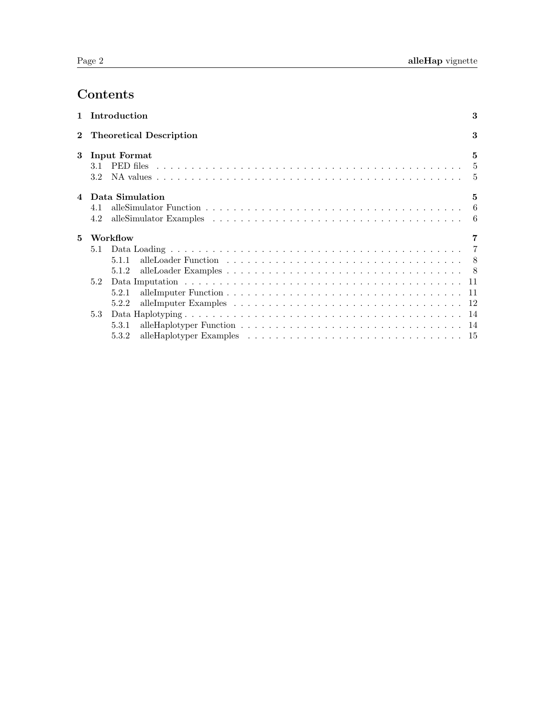# Contents

|   | 1 Introduction                | 3            |
|---|-------------------------------|--------------|
|   | 2 Theoretical Description     | 3            |
| 3 | Input Format<br>3.2           | $\mathbf{5}$ |
| 4 | Data Simulation<br>4.1<br>4.2 | 5            |
| 5 | Workflow                      |              |
|   | 5.1                           |              |
|   | 511                           |              |
|   | 5.1.2                         |              |
|   | 5.2                           |              |
|   | 5.2.1                         |              |
|   | 5.2.2                         |              |
|   | 5.3                           |              |
|   | 5.3.1                         |              |
|   | 5.3.2                         |              |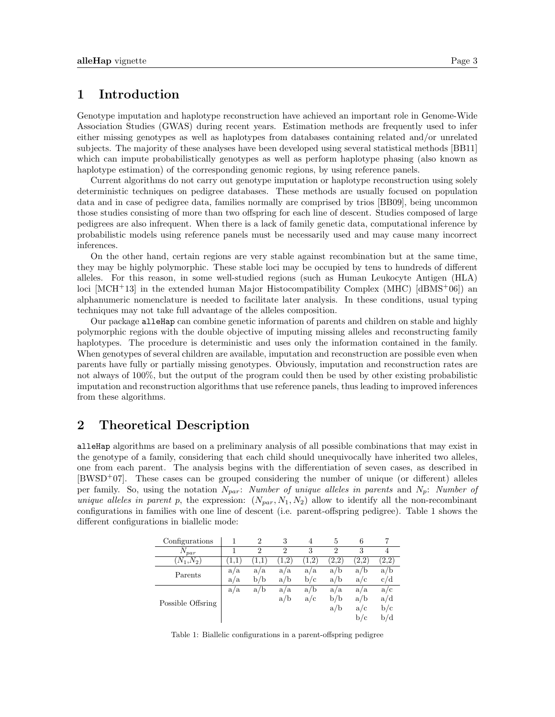# <span id="page-3-0"></span>1 Introduction

Genotype imputation and haplotype reconstruction have achieved an important role in Genome-Wide Association Studies (GWAS) during recent years. Estimation methods are frequently used to infer either missing genotypes as well as haplotypes from databases containing related and/or unrelated subjects. The majority of these analyses have been developed using several statistical methods [\[BB11\]](#page-20-0) which can impute probabilistically genotypes as well as perform haplotype phasing (also known as haplotype estimation) of the corresponding genomic regions, by using reference panels.

Current algorithms do not carry out genotype imputation or haplotype reconstruction using solely deterministic techniques on pedigree databases. These methods are usually focused on population data and in case of pedigree data, families normally are comprised by trios [\[BB09\]](#page-20-1), being uncommon those studies consisting of more than two offspring for each line of descent. Studies composed of large pedigrees are also infrequent. When there is a lack of family genetic data, computational inference by probabilistic models using reference panels must be necessarily used and may cause many incorrect inferences.

On the other hand, certain regions are very stable against recombination but at the same time, they may be highly polymorphic. These stable loci may be occupied by tens to hundreds of different alleles. For this reason, in some well-studied regions (such as Human Leukocyte Antigen (HLA) loci  $[MCH^+13]$  $[MCH^+13]$  in the extended human Major Histocompatibility Complex  $(MHC)$  [\[dBMS](#page-20-3)<sup>+06</sup>]) an alphanumeric nomenclature is needed to facilitate later analysis. In these conditions, usual typing techniques may not take full advantage of the alleles composition.

Our package alleHap can combine genetic information of parents and children on stable and highly polymorphic regions with the double objective of imputing missing alleles and reconstructing family haplotypes. The procedure is deterministic and uses only the information contained in the family. When genotypes of several children are available, imputation and reconstruction are possible even when parents have fully or partially missing genotypes. Obviously, imputation and reconstruction rates are not always of 100%, but the output of the program could then be used by other existing probabilistic imputation and reconstruction algorithms that use reference panels, thus leading to improved inferences from these algorithms.

# <span id="page-3-1"></span>2 Theoretical Description

alleHap algorithms are based on a preliminary analysis of all possible combinations that may exist in the genotype of a family, considering that each child should unequivocally have inherited two alleles, one from each parent. The analysis begins with the differentiation of seven cases, as described in [\[BWSD](#page-20-4)+07]. These cases can be grouped considering the number of unique (or different) alleles per family. So, using the notation  $N_{par}$ : Number of unique alleles in parents and  $N_p$ : Number of unique alleles in parent p, the expression:  $(N_{par}, N_1, N_2)$  allow to identify all the non-recombinant configurations in families with one line of descent (i.e. parent-offspring pedigree). Table [1](#page-3-2) shows the different configurations in biallelic mode:

<span id="page-3-2"></span>

| Configurations    |     | $\overline{2}$ | 3             |                | 5             | 6             |     |
|-------------------|-----|----------------|---------------|----------------|---------------|---------------|-----|
| $N_{par}$         |     | $\overline{2}$ | $\mathcal{D}$ | 3              | $\mathcal{P}$ | 3             | 4   |
| $(N_1,N_2)$       |     |                | $\cdot$ 2     | $\overline{2}$ | 2.2           | $2.2^{\circ}$ | 2,2 |
| Parents           | a/a | a/a            | a/a           | a/a            | a/b           | a/b           | a/b |
|                   | a/a | b/b            | a/b           | b/c            | a/b           | a/c           | c/d |
|                   | a/a | a/b            | a/a           | a/b            | a/a           | a/a           | a/c |
| Possible Offsring |     |                | a/b           | a/c            | b/b           | a/b           | a/d |
|                   |     |                |               |                | a/b           | a/c           | b/c |
|                   |     |                |               |                |               | b/c           | b/d |

Table 1: Biallelic configurations in a parent-offspring pedigree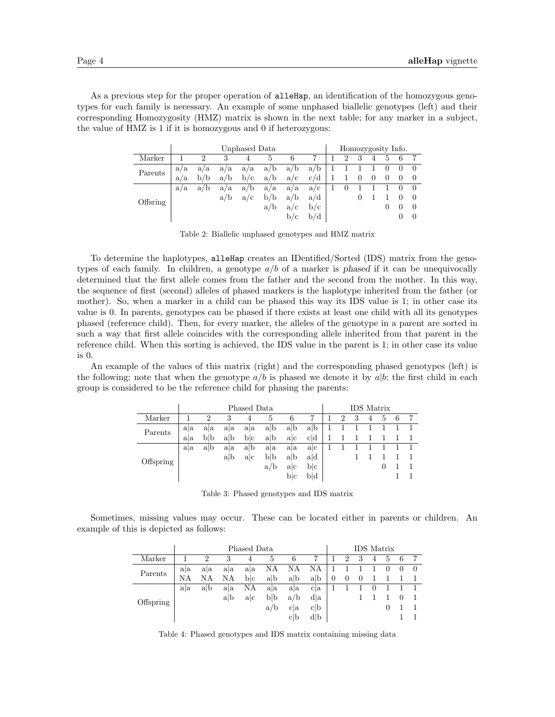As a previous step for the proper operation of alleHap, an identification of the homozygous genotypes for each family is necessary. An example of some unphased biallelic genotypes (left) and their corresponding Homozygosity (HMZ) matrix is shown in the next table; for any marker in a subject, the value of HMZ is 1 if it is homozygous and 0 if heterozygous:

|          | Unphased Data<br>3<br>$\overline{2}$<br>6<br>5<br>4<br>a/b<br>a/a<br>a/b<br>a/a<br>a/a<br>a/a<br>a/b<br>b/c<br>b/b<br>a/c<br>a/b<br>a/a<br>a/b<br>a/b<br>a/a<br>a/a<br>a/a<br>a/a<br>b/b<br>a/b<br>a/b<br>a/c<br>a/b<br>a/c |  |  |  |  |     |     |                |   |          | Homozygosity Info. |          |  |
|----------|-----------------------------------------------------------------------------------------------------------------------------------------------------------------------------------------------------------------------------|--|--|--|--|-----|-----|----------------|---|----------|--------------------|----------|--|
| Marker   |                                                                                                                                                                                                                             |  |  |  |  |     | 7   | $\overline{2}$ | 3 | 4        | 5                  | 6        |  |
| Parents  |                                                                                                                                                                                                                             |  |  |  |  |     | a/b |                |   |          |                    | $\theta$ |  |
|          |                                                                                                                                                                                                                             |  |  |  |  |     | c/d |                |   | $\theta$ | $\theta$           | $\theta$ |  |
|          |                                                                                                                                                                                                                             |  |  |  |  |     | a/c |                |   |          |                    |          |  |
|          |                                                                                                                                                                                                                             |  |  |  |  |     | a/d |                |   |          |                    |          |  |
| Offsring |                                                                                                                                                                                                                             |  |  |  |  |     | b/c |                |   |          |                    |          |  |
|          |                                                                                                                                                                                                                             |  |  |  |  | b/c |     |                |   |          |                    |          |  |

Table 2: Biallelic unphased genotypes and HMZ matrix

To determine the haplotypes, alleHap creates an IDentified/Sorted (IDS) matrix from the genotypes of each family. In children, a genotype  $a/b$  of a marker is phased if it can be unequivocally determined that the first allele comes from the father and the second from the mother. In this way, the sequence of first (second) alleles of phased markers is the haplotype inherited from the father (or mother). So, when a marker in a child can be phased this way its IDS value is 1; in other case its value is 0. In parents, genotypes can be phased if there exists at least one child with all its genotypes phased (reference child). Then, for every marker, the alleles of the genotype in a parent are sorted in such a way that first allele coincides with the corresponding allele inherited from that parent in the reference child. When this sorting is achieved, the IDS value in the parent is 1; in other case its value is 0.

An example of the values of this matrix (right) and the corresponding phased genotypes (left) is the following; note that when the genotype  $a/b$  is phased we denote it by  $a|b$ ; the first child in each group is considered to be the reference child for phasing the parents:

| Phased Data<br>Marker<br>3<br>$\overline{2}$<br>6<br>5<br>4<br>a b<br>a b<br>aa<br>aa<br>ala<br>aa<br>Parents<br>blb<br>a <sub>b</sub><br>b c<br>ac<br>alb<br>ala<br>a <sub>b</sub><br>alb<br>aa<br>aa<br>aa<br>aa<br>blb<br>alb<br>a b<br>a c<br>Offspring<br>a/b<br>ac |  |  |  |  |     |     |   | <b>IDS</b> Matrix |   |    |   |  |
|--------------------------------------------------------------------------------------------------------------------------------------------------------------------------------------------------------------------------------------------------------------------------|--|--|--|--|-----|-----|---|-------------------|---|----|---|--|
|                                                                                                                                                                                                                                                                          |  |  |  |  |     | ד   | 2 | 3                 | 4 | 5. | 6 |  |
|                                                                                                                                                                                                                                                                          |  |  |  |  |     | a b |   |                   |   |    |   |  |
|                                                                                                                                                                                                                                                                          |  |  |  |  |     | c d |   |                   |   |    |   |  |
|                                                                                                                                                                                                                                                                          |  |  |  |  |     | a c |   |                   |   |    |   |  |
|                                                                                                                                                                                                                                                                          |  |  |  |  |     | ad  |   |                   |   |    |   |  |
|                                                                                                                                                                                                                                                                          |  |  |  |  |     | blc |   |                   |   |    |   |  |
|                                                                                                                                                                                                                                                                          |  |  |  |  | blc | b d |   |                   |   |    |   |  |

Table 3: Phased genotypes and IDS matrix

Sometimes, missing values may occur. These can be located either in parents or children. An example of this is depicted as follows:

|           |     |                |     |     |     |                | <b>IDS</b> Matrix |          |                |          |                  |   |          |          |
|-----------|-----|----------------|-----|-----|-----|----------------|-------------------|----------|----------------|----------|------------------|---|----------|----------|
| Marker    |     | $\overline{2}$ | 3   | 4   | 5   | 6              |                   |          | $\overline{2}$ | 3        | 4                | 5 | 6        |          |
| Parents   | ala | aa             | aa  | aa  | ΝA  | ΝA             | ΝA                |          |                |          |                  |   | $\theta$ | $\theta$ |
|           | NΑ  | NΑ             | NΑ  | blc | a/b | a <sub>b</sub> | a b               | $\theta$ | $\theta$       | $\theta$ |                  |   |          |          |
|           | aa  | alb            | aa  | ΝA  | a a | aa             | c <sub>1</sub>    |          |                |          | $\left( \right)$ |   |          |          |
|           |     |                | alb | alc | blb | a/b            | d a               |          |                |          |                  |   |          |          |
| Offspring |     |                |     |     | a/b | c a            | c <sub>b</sub>    |          |                |          |                  | O |          |          |
|           |     |                |     |     |     | c b            | d b               |          |                |          |                  |   |          |          |

Table 4: Phased genotypes and IDS matrix containing missing data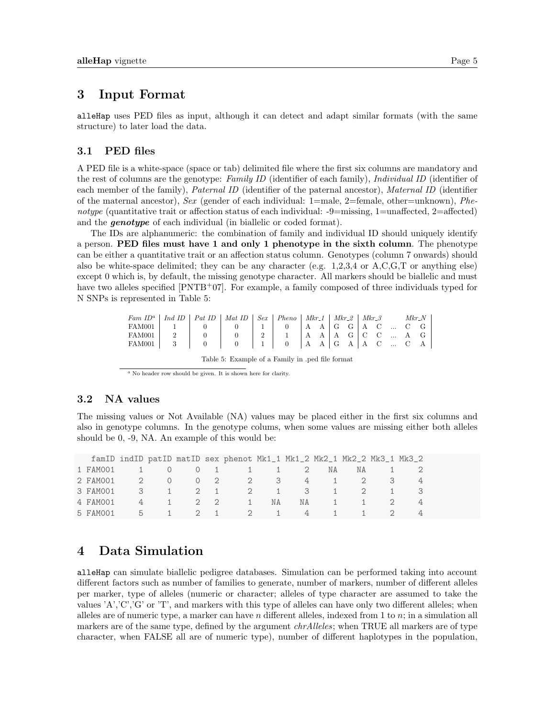# <span id="page-5-0"></span>3 Input Format

alleHap uses PED files as input, although it can detect and adapt similar formats (with the same structure) to later load the data.

### <span id="page-5-1"></span>3.1 PED files

A PED file is a white-space (space or tab) delimited file where the first six columns are mandatory and the rest of columns are the genotype: Family ID (identifier of each family), Individual ID (identifier of each member of the family), Paternal ID (identifier of the paternal ancestor), Maternal ID (identifier of the maternal ancestor), Sex (gender of each individual:  $1$ =male,  $2$ =female, other=unknown), Phenotype (quantitative trait or affection status of each individual:  $-9$ =missing, 1=unaffected, 2=affected) and the **genotype** of each individual (in biallelic or coded format).

The IDs are alphanumeric: the combination of family and individual ID should uniquely identify a person. PED files must have 1 and only 1 phenotype in the sixth column. The phenotype can be either a quantitative trait or an affection status column. Genotypes (column 7 onwards) should also be white-space delimited; they can be any character (e.g. 1,2,3,4 or A,C,G,T or anything else) except 0 which is, by default, the missing genotype character. All markers should be biallelic and must have two alleles specified  $[PNTB<sup>+</sup>07]$  $[PNTB<sup>+</sup>07]$ . For example, a family composed of three individuals typed for N SNPs is represented in Table [5:](#page-5-4)

<span id="page-5-4"></span>

| Fam $ID^a$   Ind $ID$   Pat $ID$   Mat $ID$   Sex   Pheno   Mkr_1   Mkr_2   Mkr_3 Mkr_N |  |                                                                                                             |  |  |  |  |  |  |
|-----------------------------------------------------------------------------------------|--|-------------------------------------------------------------------------------------------------------------|--|--|--|--|--|--|
|                                                                                         |  |                                                                                                             |  |  |  |  |  |  |
|                                                                                         |  |                                                                                                             |  |  |  |  |  |  |
|                                                                                         |  |                                                                                                             |  |  |  |  |  |  |
|                                                                                         |  | $\mathbf{m}$ , and $\mathbf{m}$ , and $\mathbf{m}$ , and $\mathbf{m}$ , and $\mathbf{m}$ , and $\mathbf{m}$ |  |  |  |  |  |  |

Table 5: Example of a Family in .ped file format

<span id="page-5-5"></span> $a$  No header row should be given. It is shown here for clarity.

### <span id="page-5-2"></span>3.2 NA values

The missing values or Not Available (NA) values may be placed either in the first six columns and also in genotype columns. In the genotype colums, when some values are missing either both alleles should be 0, -9, NA. An example of this would be:

|          |          |  | famID indID patID matID sex phenot Mk1_1 Mk1_2 Mk2_1 Mk2_2 Mk3_1 Mk3_2 |          |    |          |                    |  |
|----------|----------|--|------------------------------------------------------------------------|----------|----|----------|--------------------|--|
| 1 FAM001 |          |  | 1 0 0 1 1 1 2                                                          |          | NA | NA.      |                    |  |
| 2 FAM001 |          |  | 2 0 0 2 2 3 4 1 2 3                                                    |          |    |          |                    |  |
| 3 FAM001 |          |  | 3 1 2 1 2 1 3                                                          |          |    |          | $1 \t 2 \t 1 \t 3$ |  |
| 4 FAM001 | $\sim$ 4 |  | $1 \quad 2 \quad 2 \quad 1$                                            | NA 1939. |    | NA 1 1 2 |                    |  |
| 5 FAM001 |          |  | 5 1 2 1 2 1                                                            |          |    | 4 1 1 2  |                    |  |

# <span id="page-5-3"></span>4 Data Simulation

alleHap can simulate biallelic pedigree databases. Simulation can be performed taking into account different factors such as number of families to generate, number of markers, number of different alleles per marker, type of alleles (numeric or character; alleles of type character are assumed to take the values 'A','C','G' or 'T', and markers with this type of alleles can have only two different alleles; when alleles are of numeric type, a marker can have n different alleles, indexed from 1 to  $n$ ; in a simulation all markers are of the same type, defined by the argument *chrAlleles*; when TRUE all markers are of type character, when FALSE all are of numeric type), number of different haplotypes in the population,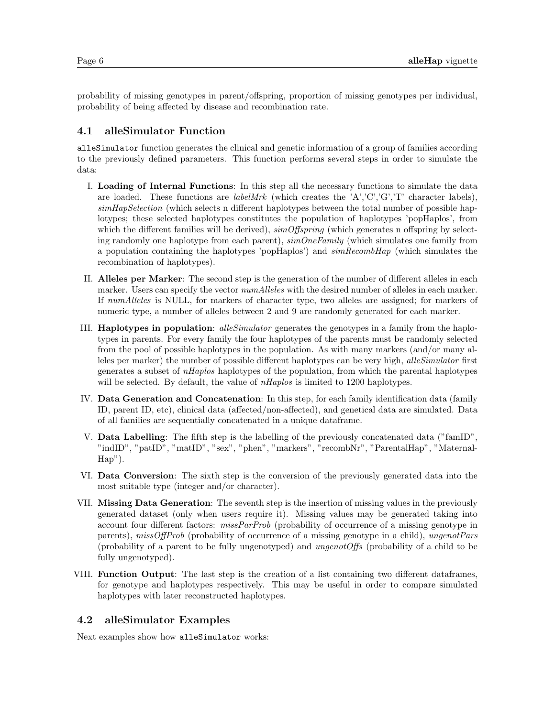probability of missing genotypes in parent/offspring, proportion of missing genotypes per individual, probability of being affected by disease and recombination rate.

### <span id="page-6-0"></span>4.1 alleSimulator Function

alleSimulator function generates the clinical and genetic information of a group of families according to the previously defined parameters. This function performs several steps in order to simulate the data:

- I. Loading of Internal Functions: In this step all the necessary functions to simulate the data are loaded. These functions are *labelMrk* (which creates the 'A','C','G','T' character labels), simHapSelection (which selects n different haplotypes between the total number of possible haplotypes; these selected haplotypes constitutes the population of haplotypes 'popHaplos', from which the different families will be derived),  $\text{simOffspring}$  (which generates n offspring by selecting randomly one haplotype from each parent),  $\textit{simOneFamily}$  (which simulates one family from a population containing the haplotypes 'popHaplos') and  $\textit{simRecombHap}$  (which simulates the recombination of haplotypes).
- II. Alleles per Marker: The second step is the generation of the number of different alleles in each marker. Users can specify the vector  $numAlleles$  with the desired number of alleles in each marker. If numAlleles is NULL, for markers of character type, two alleles are assigned; for markers of numeric type, a number of alleles between 2 and 9 are randomly generated for each marker.
- III. Haplotypes in population: alleSimulator generates the genotypes in a family from the haplotypes in parents. For every family the four haplotypes of the parents must be randomly selected from the pool of possible haplotypes in the population. As with many markers (and/or many alleles per marker) the number of possible different haplotypes can be very high, alleSimulator first generates a subset of nHaplos haplotypes of the population, from which the parental haplotypes will be selected. By default, the value of *nHaplos* is limited to 1200 haplotypes.
- IV. Data Generation and Concatenation: In this step, for each family identification data (family ID, parent ID, etc), clinical data (affected/non-affected), and genetical data are simulated. Data of all families are sequentially concatenated in a unique dataframe.
- V. Data Labelling: The fifth step is the labelling of the previously concatenated data ("famID", "indID", "patID", "matID", "sex", "phen", "markers", "recombNr", "ParentalHap", "Maternal-Hap").
- VI. Data Conversion: The sixth step is the conversion of the previously generated data into the most suitable type (integer and/or character).
- VII. Missing Data Generation: The seventh step is the insertion of missing values in the previously generated dataset (only when users require it). Missing values may be generated taking into account four different factors: *missParProb* (probability of occurrence of a missing genotype in parents), missOffProb (probability of occurrence of a missing genotype in a child), ungenotPars (probability of a parent to be fully ungenotyped) and ungenotOffs (probability of a child to be fully ungenotyped).
- VIII. Function Output: The last step is the creation of a list containing two different dataframes, for genotype and haplotypes respectively. This may be useful in order to compare simulated haplotypes with later reconstructed haplotypes.

# <span id="page-6-1"></span>4.2 alleSimulator Examples

Next examples show how alleSimulator works: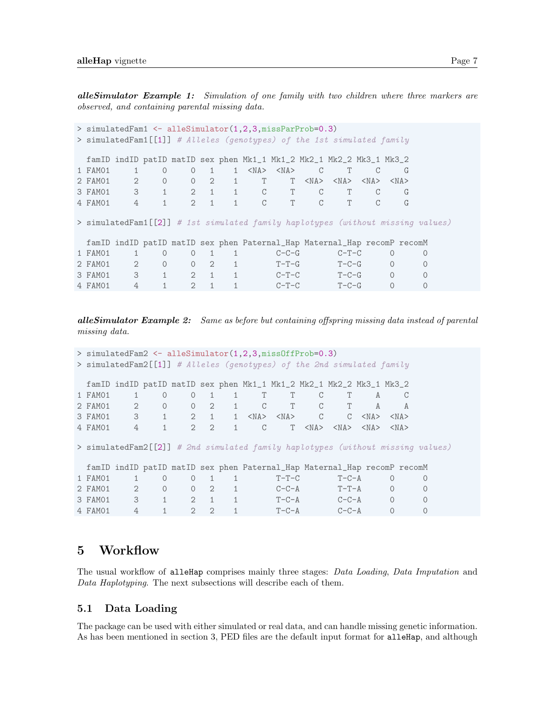**alleSimulator Example 1:** Simulation of one family with two children where three markers are observed, and containing parental missing data.

```
> simulatedFam1 <- alleSimulator(1,2,3,missParProb=0.3)
> simulatedFam1[[1]] # Alleles (genotypes) of the 1st simulated family
 famID indID patID matID sex phen Mk1_1 Mk1_2 Mk2_1 Mk2_2 Mk3_1 Mk3_2
1 FAM01  1  0  0  1  1 <NA> <NA> C  T  C  G
2 FAM01 2 0 0 2 1 T T <NA> <NA> <NA> <NA>
3 FAM01 3 1 2 1 1 C T C T C G
4 FAM01 4 1 2 1 1 C T C T C G
> simulatedFam1[[2]] # 1st simulated family haplotypes (without missing values)
 famID indID patID matID sex phen Paternal_Hap Maternal_Hap recomP recomM
1 FAM01  1  0  0  1  1  C-C-G  C-T-C  0  0
2 FAM01 2 0 0 2 1 T-T-G T-C-G 0 0
3 FAM01 3 1 2 1 1 C-T-C T-C-G 0 0
4 FAM01  4  1  2  1  1  C-T-C  T-C-G  0  0
```
alleSimulator Example 2: Same as before but containing offspring missing data instead of parental missing data.

```
> simulatedFam2 <- alleSimulator(1,2,3,missOffProb=0.3)
> simulatedFam2[[1]] # Alleles (genotypes) of the 2nd simulated family
 famID indID patID matID sex phen Mk1_1 Mk1_2 Mk2_1 Mk2_2 Mk3_1 Mk3_2
1 FAM01 1 0 0 1 1 T T C T A C
2 FAM01 2 0 0 2 1 C T C T A A
3 FAM01 3 1 2 1 1 <NA> <NA> C C <NA> <NA>
4 FAM01 4 1 2 2 1 C T <NA> <NA> <NA> <NA>
> simulatedFam2[[2]] # 2nd simulated family haplotypes (without missing values)
 famID indID patID matID sex phen Paternal_Hap Maternal_Hap recomP recomM
1 FAM01  1  0  0  1  1  T-T-C  T-C-A  0  0
2 FAM01 2 0 0 2 1 C-C-A T-T-A 0 0
3 FAM01 3 1 2 1 1 T-C-A C-C-A 0 0
4 FAM01 4 1 2 2 1 T-C-A C-C-A 0 0
```
# <span id="page-7-0"></span>5 Workflow

The usual workflow of alleHap comprises mainly three stages: Data Loading, Data Imputation and Data Haplotyping. The next subsections will describe each of them.

#### <span id="page-7-1"></span>5.1 Data Loading

The package can be used with either simulated or real data, and can handle missing genetic information. As has been mentioned in section [3,](#page-5-0) PED files are the default input format for alleHap, and although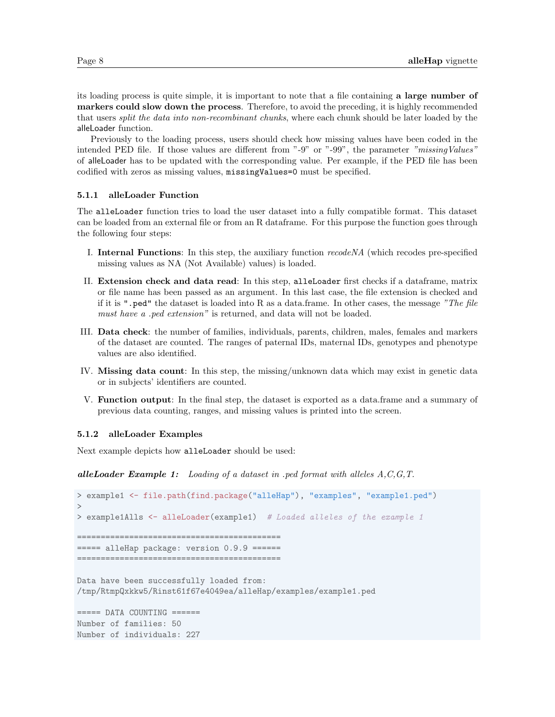its loading process is quite simple, it is important to note that a file containing a large number of markers could slow down the process. Therefore, to avoid the preceding, it is highly recommended that users *split the data into non-recombinant chunks*, where each chunk should be later loaded by the alleLoader function.

Previously to the loading process, users should check how missing values have been coded in the intended PED file. If those values are different from "-9" or "-99", the parameter "missingValues" of alleLoader has to be updated with the corresponding value. Per example, if the PED file has been codified with zeros as missing values, missingValues=0 must be specified.

#### <span id="page-8-0"></span>5.1.1 alleLoader Function

The alleLoader function tries to load the user dataset into a fully compatible format. This dataset can be loaded from an external file or from an R dataframe. For this purpose the function goes through the following four steps:

- I. Internal Functions: In this step, the auxiliary function recodeNA (which recodes pre-specified missing values as NA (Not Available) values) is loaded.
- II. Extension check and data read: In this step, alleLoader first checks if a dataframe, matrix or file name has been passed as an argument. In this last case, the file extension is checked and if it is ".ped" the dataset is loaded into R as a data.frame. In other cases, the message "The file must have a .ped extension" is returned, and data will not be loaded.
- III. Data check: the number of families, individuals, parents, children, males, females and markers of the dataset are counted. The ranges of paternal IDs, maternal IDs, genotypes and phenotype values are also identified.
- IV. Missing data count: In this step, the missing/unknown data which may exist in genetic data or in subjects' identifiers are counted.
- V. Function output: In the final step, the dataset is exported as a data.frame and a summary of previous data counting, ranges, and missing values is printed into the screen.

#### <span id="page-8-1"></span>5.1.2 alleLoader Examples

Next example depicts how alleLoader should be used:

**alleLoader Example 1:** Loading of a dataset in .ped format with alleles  $A, C, G, T$ .

```
> example1 <- file.path(find.package("alleHap"), "examples", "example1.ped")
>
> example1Alls <- alleLoader(example1) # Loaded alleles of the example 1
===========================================
===== alleHap package: version 0.9.9 ======
===========================================
```
Data have been successfully loaded from: /tmp/RtmpQxkkw5/Rinst61f67e4049ea/alleHap/examples/example1.ped

===== DATA COUNTING ====== Number of families: 50 Number of individuals: 227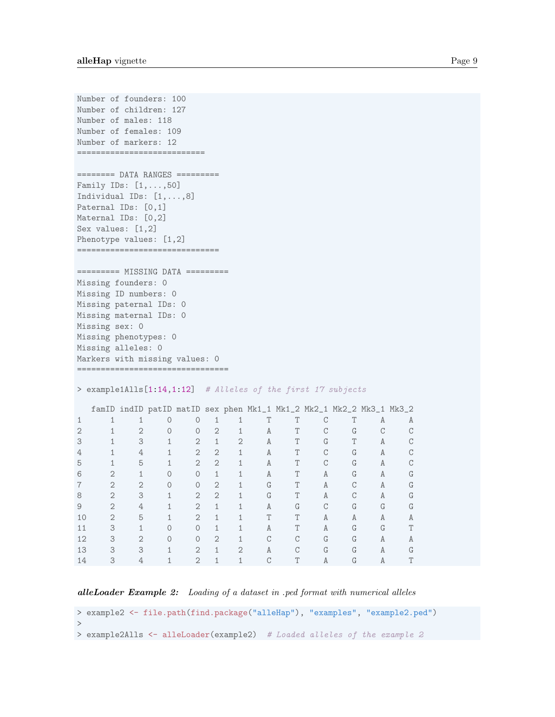```
Number of founders: 100
Number of children: 127
Number of males: 118
Number of females: 109
Number of markers: 12
===========================
======== DATA RANGES =========
Family IDs: [1,...,50]
Individual IDs: [1,...,8]
Paternal IDs: [0,1]
Maternal IDs: [0,2]
Sex values: [1,2]
Phenotype values: [1,2]
==============================
========= MISSING DATA =========
Missing founders: 0
Missing ID numbers: 0
Missing paternal IDs: 0
Missing maternal IDs: 0
Missing sex: 0
Missing phenotypes: 0
Missing alleles: 0
Markers with missing values: 0
================================
> example1Alls[1:14,1:12] # Alleles of the first 17 subjects
 famID indID patID matID sex phen Mk1_1 Mk1_2 Mk2_1 Mk2_2 Mk3_1 Mk3_2
1 1 1 0 0 1 1 T T C T A A
2 1 2 0 0 2 1 A T C G C C
3 1 3 1 2 1 2 A T G T A C
4 1 4 1 2 2 1 A T C G A C
5 1 5 1 2 2 1 A T C G A C
6 2 1 0 0 1 1 A T A G A G
7 2 2 0 0 2 1 G T A C A G
8 2 3 1 2 2 1 G T A C A G
9 2 4 1 2 1 1 A G C G G G
10 2 5 1 2 1 1 T T A A A A
11 3 1 0 0 1 1 A T A G G T
12 3 2 0 0 2 1 C C G G A A
13 3 3 1 2 1 2 A C G G A G
14 3 4 1 2 1 1 C T A G A T
```
alleLoader Example 2: Loading of a dataset in .ped format with numerical alleles

```
> example2 <- file.path(find.package("alleHap"), "examples", "example2.ped")
>
> example2Alls <- alleLoader(example2) # Loaded alleles of the example 2
```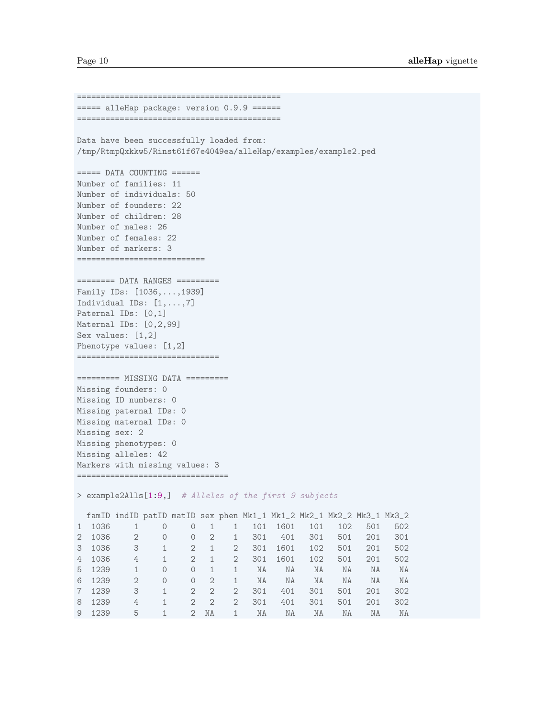```
===========================================
===== alleHap package: version 0.9.9 ======
===========================================
Data have been successfully loaded from:
/tmp/RtmpQxkkw5/Rinst61f67e4049ea/alleHap/examples/example2.ped
====== DATA COUNTING ======
Number of families: 11
Number of individuals: 50
Number of founders: 22
Number of children: 28
Number of males: 26
Number of females: 22
Number of markers: 3
===========================
======== DATA RANGES =========
Family IDs: [1036,...,1939]
Individual IDs: [1,...,7]
Paternal IDs: [0,1]
Maternal IDs: [0,2,99]
Sex values: [1,2]
Phenotype values: [1,2]
==============================
========= MISSING DATA =========
Missing founders: 0
Missing ID numbers: 0
Missing paternal IDs: 0
Missing maternal IDs: 0
Missing sex: 2
Missing phenotypes: 0
Missing alleles: 42
Markers with missing values: 3
================================
> example2Alls[1:9,] # Alleles of the first 9 subjects
famID indID patID matID sex phen Mk1_1 Mk1_2 Mk2_1 Mk2_2 Mk3_1 Mk3_2
1 1036 1 0 0 1 1 101 1601 101 102 501 502
2 1036 2 0 0 2 1 301 401 301 501 201 301
3 1036 3 1 2 1 2 301 1601 102 501 201 502
4 1036 4 1 2 1 2 301 1601 102 501 201 502
5 1239 1 0 0 1 1 NA NA NA NA NA NA
6 1239 2 0 0 2 1 NA NA NA NA NA NA
7 1239 3 1 2 2 2 301 401 301 501 201 302
8 1239 4 1 2 2 2 301 401 301 501 201 302
9 1239 5 1 2 NA 1 NA NA NA NA NA NA
```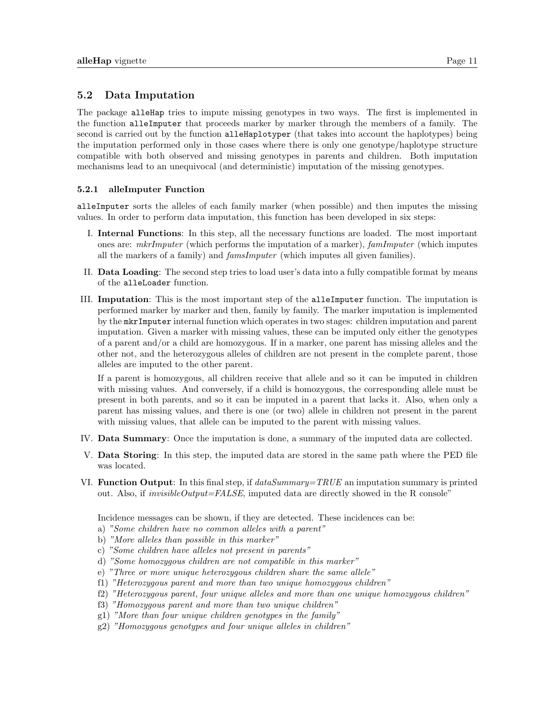### <span id="page-11-0"></span>5.2 Data Imputation

The package alleHap tries to impute missing genotypes in two ways. The first is implemented in the function alleImputer that proceeds marker by marker through the members of a family. The second is carried out by the function alleHaplotyper (that takes into account the haplotypes) being the imputation performed only in those cases where there is only one genotype/haplotype structure compatible with both observed and missing genotypes in parents and children. Both imputation mechanisms lead to an unequivocal (and deterministic) imputation of the missing genotypes.

### <span id="page-11-1"></span>5.2.1 alleImputer Function

alleImputer sorts the alleles of each family marker (when possible) and then imputes the missing values. In order to perform data imputation, this function has been developed in six steps:

- I. Internal Functions: In this step, all the necessary functions are loaded. The most important ones are: mkrImputer (which performs the imputation of a marker), famImputer (which imputes all the markers of a family) and famsImputer (which imputes all given families).
- II. Data Loading: The second step tries to load user's data into a fully compatible format by means of the alleLoader function.
- III. Imputation: This is the most important step of the alleImputer function. The imputation is performed marker by marker and then, family by family. The marker imputation is implemented by the mkrImputer internal function which operates in two stages: children imputation and parent imputation. Given a marker with missing values, these can be imputed only either the genotypes of a parent and/or a child are homozygous. If in a marker, one parent has missing alleles and the other not, and the heterozygous alleles of children are not present in the complete parent, those alleles are imputed to the other parent.

If a parent is homozygous, all children receive that allele and so it can be imputed in children with missing values. And conversely, if a child is homozygous, the corresponding allele must be present in both parents, and so it can be imputed in a parent that lacks it. Also, when only a parent has missing values, and there is one (or two) allele in children not present in the parent with missing values, that allele can be imputed to the parent with missing values.

- IV. Data Summary: Once the imputation is done, a summary of the imputed data are collected.
- V. Data Storing: In this step, the imputed data are stored in the same path where the PED file was located.
- VI. Function Output: In this final step, if  $dataSummary = TRUE$  an imputation summary is printed out. Also, if *invisible Output=FALSE*, imputed data are directly showed in the R console"

Incidence messages can be shown, if they are detected. These incidences can be:

- a) "Some children have no common alleles with a parent"
- b) "More alleles than possible in this marker"
- c) "Some children have alleles not present in parents"
- d) "Some homozygous children are not compatible in this marker"
- e) "Three or more unique heterozygous children share the same allele"
- f1) "Heterozygous parent and more than two unique homozygous children"
- f2) "Heterozygous parent, four unique alleles and more than one unique homozygous children"
- f3) "Homozygous parent and more than two unique children"
- g1) "More than four unique children genotypes in the family"
- g2) "Homozygous genotypes and four unique alleles in children"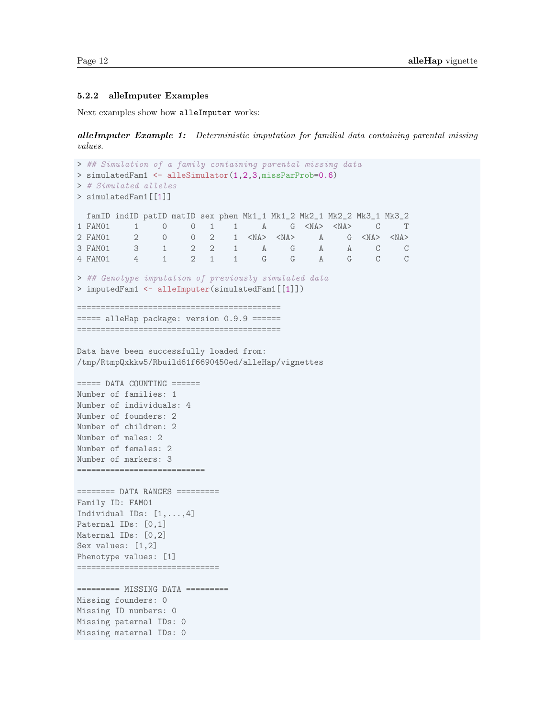#### <span id="page-12-0"></span>5.2.2 alleImputer Examples

Next examples show how alleImputer works:

alleImputer Example 1: Deterministic imputation for familial data containing parental missing values.

```
> ## Simulation of a family containing parental missing data
> simulatedFam1 <- alleSimulator(1,2,3,missParProb=0.6)
> # Simulated alleles
> simulatedFam1[[1]]
 famID indID patID matID sex phen Mk1_1 Mk1_2 Mk2_1 Mk2_2 Mk3_1 Mk3_2
1 FAM01 1 0 0 1 1 A G <NA> <NA> C T
2 FAM01 2 0 0 2 1 <NA> <NA> A G <NA> <NA> 3 FAM01 3 1 2 2 1 A G A A C C
3 FAM01 3 1 2 2 1 A G A A C C
4 FAM01 4 1 2 1 1 G G A G C C
> ## Genotype imputation of previously simulated data
> imputedFam1 <- alleImputer(simulatedFam1[[1]])
===========================================
===== alleHap package: version 0.9.9 ======
===========================================
Data have been successfully loaded from:
/tmp/RtmpQxkkw5/Rbuild61f6690450ed/alleHap/vignettes
==== DATA COUNTING ====Number of families: 1
Number of individuals: 4
Number of founders: 2
Number of children: 2
Number of males: 2
Number of females: 2
Number of markers: 3
============================
======== DATA RANGES =========
Family ID: FAM01
Individual IDs: [1,...,4]
Paternal IDs: [0,1]
Maternal IDs: [0,2]
Sex values: [1,2]
Phenotype values: [1]
==============================
========= MISSING DATA =========
Missing founders: 0
Missing ID numbers: 0
Missing paternal IDs: 0
Missing maternal IDs: 0
```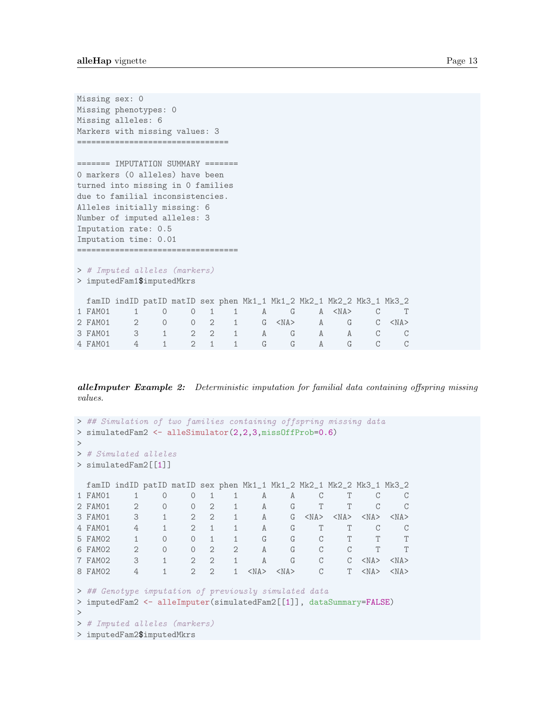```
Missing sex: 0
Missing phenotypes: 0
Missing alleles: 6
Markers with missing values: 3
================================
======= IMPUTATION SUMMARY =======
0 markers (0 alleles) have been
turned into missing in 0 families
due to familial inconsistencies.
Alleles initially missing: 6
Number of imputed alleles: 3
Imputation rate: 0.5
Imputation time: 0.01
=====================================
> # Imputed alleles (markers)
> imputedFam1$imputedMkrs
 famID indID patID matID sex phen Mk1_1 Mk1_2 Mk2_1 Mk2_2 Mk3_1 Mk3_2
1 FAM01 1 0 0 1 1 A G A <NA> C T
2 FAM01 2 0 0 2 1 G <NA> A G C <NA>
3 FAM01 3 1 2 2 1 A G A A C C
4 FAM01 4 1 2 1 1 G G A G C C
```
**alleImputer Example 2:** Deterministic imputation for familial data containing offspring missing values.

```
> ## Simulation of two families containing offspring missing data
> simulatedFam2 <- alleSimulator(2,2,3,missOffProb=0.6)
\rightarrow> # Simulated alleles
> simulatedFam2[[1]]
 famID indID patID matID sex phen Mk1_1 Mk1_2 Mk2_1 Mk2_2 Mk3_1 Mk3_2
1 FAM01 1 0 0 1 1 A A C T C C
2 FAM01 2 0 0 2 1 A G T T C C
3 FAM01 3 1 2 2 1 A G <NA> <NA> <NA> <NA>
4 FAM01 4 1 2 1 1 A G T T C C
5 FAM02 1 0 0 1 1 G G C T T T
6 FAM02 2 0 0 2 2 A G C C T T
7 FAM02 3 1 2 2 1 A G C C <NA> <NA>
8 FAM02 4 1 2 2 1 <NA> <NA> C T <NA> <NA>
> ## Genotype imputation of previously simulated data
> imputedFam2 <- alleImputer(simulatedFam2[[1]], dataSummary=FALSE)
>
> # Imputed alleles (markers)
> imputedFam2$imputedMkrs
```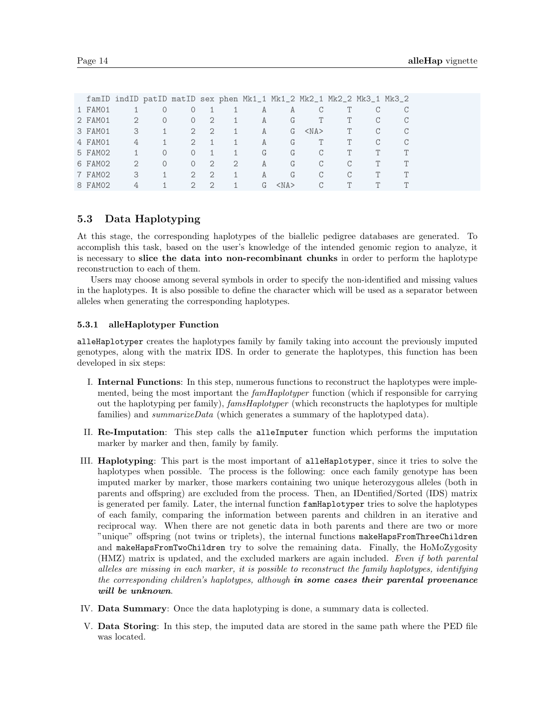|         |               |          |                       |                |   |    |            |            |   | famID indID patID matID sex phen Mk1_1 Mk1_2 Mk2_1 Mk2_2 Mk3_1 Mk3_2 |  |
|---------|---------------|----------|-----------------------|----------------|---|----|------------|------------|---|----------------------------------------------------------------------|--|
| 1 FAM01 |               | $\cup$   | $\Omega$              |                |   | А  | A          | C          |   |                                                                      |  |
| 2 FAM01 | 2             | $\Omega$ | $\Omega$              | 2              |   | A  | G          |            |   | C                                                                    |  |
| 3 FAM01 | 3             |          | $2^{\circ}$           | $\overline{2}$ |   | A  | G          | $<$ NA $>$ | T | C                                                                    |  |
| 4 FAM01 | 4             |          | 2                     |                |   | A  | G          |            |   | C                                                                    |  |
| 5 FAM02 |               | $\Omega$ | $\Omega$              |                |   | G  | G          | C          |   | Т                                                                    |  |
| 6 FAM02 | $\mathcal{D}$ | $\Omega$ | $\Omega$              | -2             | 2 | A  | G          | C          | C | T                                                                    |  |
| 7 FAM02 | 3             |          | $\mathcal{D}_{\cdot}$ | 2              |   | A  | G          | C          |   | Ͳ                                                                    |  |
| 8 FAM02 | 4             |          | $\mathcal{D}$         | 2              |   | G. | $<$ NA $>$ | C          | T | ᡣ                                                                    |  |

# <span id="page-14-0"></span>5.3 Data Haplotyping

At this stage, the corresponding haplotypes of the biallelic pedigree databases are generated. To accomplish this task, based on the user's knowledge of the intended genomic region to analyze, it is necessary to slice the data into non-recombinant chunks in order to perform the haplotype reconstruction to each of them.

Users may choose among several symbols in order to specify the non-identified and missing values in the haplotypes. It is also possible to define the character which will be used as a separator between alleles when generating the corresponding haplotypes.

#### <span id="page-14-1"></span>5.3.1 alleHaplotyper Function

alleHaplotyper creates the haplotypes family by family taking into account the previously imputed genotypes, along with the matrix IDS. In order to generate the haplotypes, this function has been developed in six steps:

- I. Internal Functions: In this step, numerous functions to reconstruct the haplotypes were implemented, being the most important the *famHaplotyper* function (which if responsible for carrying out the haplotyping per family), famsHaplotyper (which reconstructs the haplotypes for multiple families) and *summarizeData* (which generates a summary of the haplotyped data).
- II. Re-Imputation: This step calls the alleImputer function which performs the imputation marker by marker and then, family by family.
- III. Haplotyping: This part is the most important of alleHaplotyper, since it tries to solve the haplotypes when possible. The process is the following: once each family genotype has been imputed marker by marker, those markers containing two unique heterozygous alleles (both in parents and offspring) are excluded from the process. Then, an IDentified/Sorted (IDS) matrix is generated per family. Later, the internal function famHaplotyper tries to solve the haplotypes of each family, comparing the information between parents and children in an iterative and reciprocal way. When there are not genetic data in both parents and there are two or more "unique" offspring (not twins or triplets), the internal functions makeHapsFromThreeChildren and makeHapsFromTwoChildren try to solve the remaining data. Finally, the HoMoZygosity (HMZ) matrix is updated, and the excluded markers are again included. Even if both parental alleles are missing in each marker, it is possible to reconstruct the family haplotypes, identifying the corresponding children's haplotypes, although in some cases their parental provenance will be unknown.
- IV. Data Summary: Once the data haplotyping is done, a summary data is collected.
- V. Data Storing: In this step, the imputed data are stored in the same path where the PED file was located.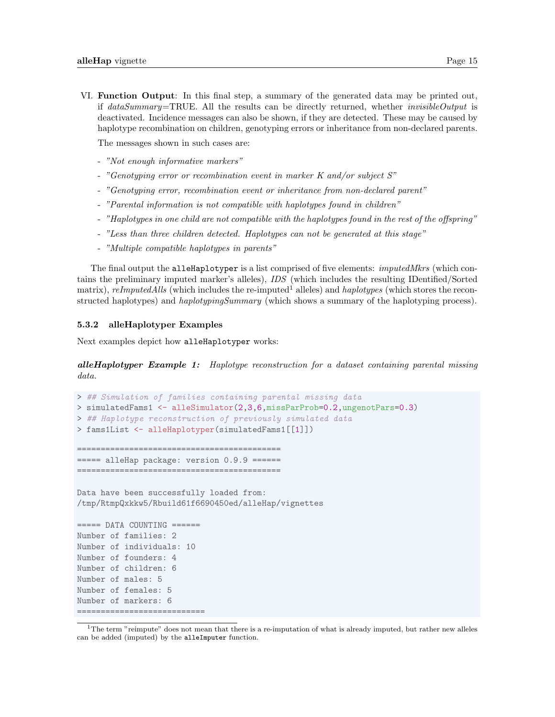VI. Function Output: In this final step, a summary of the generated data may be printed out, if dataSummary=TRUE. All the results can be directly returned, whether invisibleOutput is deactivated. Incidence messages can also be shown, if they are detected. These may be caused by haplotype recombination on children, genotyping errors or inheritance from non-declared parents.

The messages shown in such cases are:

- "Not enough informative markers"
- "Genotyping error or recombination event in marker K and/or subject S"
- "Genotyping error, recombination event or inheritance from non-declared parent"
- "Parental information is not compatible with haplotypes found in children"
- "Haplotypes in one child are not compatible with the haplotypes found in the rest of the offspring"
- "Less than three children detected. Haplotypes can not be generated at this stage"
- "Multiple compatible haplotypes in parents"

The final output the alleHaplotyper is a list comprised of five elements: *imputedMkrs* (which contains the preliminary imputed marker's alleles), IDS (which includes the resulting IDentified/Sorted matrix), reImputedAlls (which includes the re-imputed<sup>[1](#page-15-1)</sup> alleles) and haplotypes (which stores the reconstructed haplotypes) and *haplotypingSummary* (which shows a summary of the haplotyping process).

#### <span id="page-15-0"></span>5.3.2 alleHaplotyper Examples

Next examples depict how alleHaplotyper works:

**alleHaplotyper Example 1:** Haplotype reconstruction for a dataset containing parental missing data.

```
> ## Simulation of families containing parental missing data
> simulatedFams1 <- alleSimulator(2,3,6,missParProb=0.2,ungenotPars=0.3)
> ## Haplotype reconstruction of previously simulated data
> fams1List <- alleHaplotyper(simulatedFams1[[1]])
===========================================
===== alleHap package: version 0.9.9 ======
===========================================
Data have been successfully loaded from:
/tmp/RtmpQxkkw5/Rbuild61f6690450ed/alleHap/vignettes
===== DATA COUNTING ======
Number of families: 2
Number of individuals: 10
Number of founders: 4
Number of children: 6
Number of males: 5
Number of females: 5
Number of markers: 6
===========================
```
<span id="page-15-1"></span><sup>&</sup>lt;sup>1</sup>The term "reimpute" does not mean that there is a re-imputation of what is already imputed, but rather new alleles can be added (imputed) by the alleImputer function.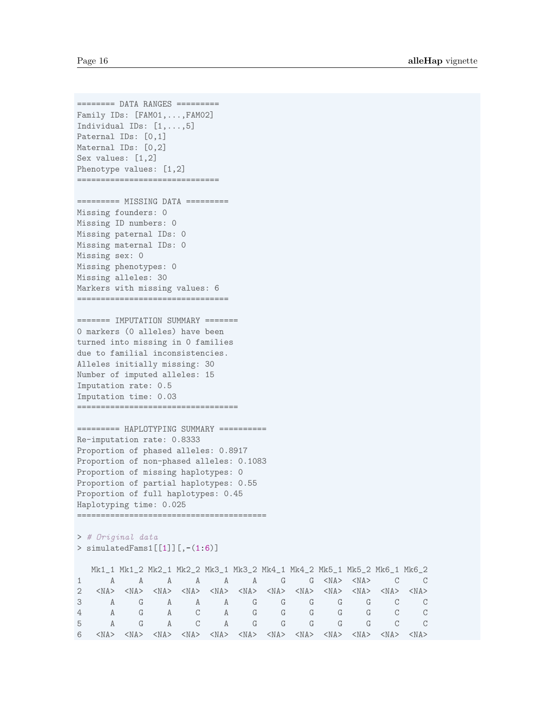======== DATA RANGES ========= Family IDs: [FAM01,...,FAM02] Individual IDs: [1,...,5] Paternal IDs: [0,1] Maternal IDs: [0,2] Sex values: [1,2] Phenotype values: [1,2] ==============================

```
========= MISSING DATA =========
Missing founders: 0
Missing ID numbers: 0
Missing paternal IDs: 0
Missing maternal IDs: 0
Missing sex: 0
Missing phenotypes: 0
Missing alleles: 30
Markers with missing values: 6
================================
```
======= IMPUTATION SUMMARY ======= 0 markers (0 alleles) have been turned into missing in 0 families due to familial inconsistencies. Alleles initially missing: 30 Number of imputed alleles: 15 Imputation rate: 0.5 Imputation time: 0.03 ==================================

```
========== HAPLOTYPING SUMMARY ==========
Re-imputation rate: 0.8333
Proportion of phased alleles: 0.8917
Proportion of non-phased alleles: 0.1083
Proportion of missing haplotypes: 0
Proportion of partial haplotypes: 0.55
Proportion of full haplotypes: 0.45
Haplotyping time: 0.025
========================================
```
> # Original data > simulatedFams1[[1]][,-(1:6)]

|   | Mk1_1 Mk1_2 Mk2_1 Mk2_2 Mk3_1 Mk3_2 Mk4_1 Mk4_2 Mk5_1 Mk5_2 Mk6_1 Mk6_2                                                                                                                                                     |                |                     |                                   |  |  |    |                   |
|---|-----------------------------------------------------------------------------------------------------------------------------------------------------------------------------------------------------------------------------|----------------|---------------------|-----------------------------------|--|--|----|-------------------|
|   |                                                                                                                                                                                                                             | $A \quad \Box$ |                     | A A A A G G <na> <na> C</na></na> |  |  |    | $\hspace{1.5cm}C$ |
|   | $\langle NAS \rangle$ $\langle NAS \rangle$ $\langle NAS \rangle$ $\langle NAS \rangle$ $\langle NAS \rangle$ $\langle NAS \rangle$ $\langle NAS \rangle$ $\langle NAS \rangle$ $\langle NAS \rangle$ $\langle NAS \rangle$ |                |                     |                                   |  |  |    |                   |
|   | A                                                                                                                                                                                                                           |                |                     | A A A G G G G G                   |  |  |    | $\mathbb{C}$      |
| 4 | A                                                                                                                                                                                                                           | G              | A C                 | A G G G G G                       |  |  | C. | $\overline{C}$    |
| 5 | A                                                                                                                                                                                                                           | G              | $\overline{C}$<br>A | A G G G G G                       |  |  |    | $\overline{C}$    |
| 6 | $\langle NAS \rangle$ $\langle NAS \rangle$ $\langle NAS \rangle$ $\langle NAS \rangle$ $\langle NAS \rangle$ $\langle NAS \rangle$ $\langle NAS \rangle$ $\langle NAS \rangle$ $\langle NAS \rangle$ $\langle NAS \rangle$ |                |                     |                                   |  |  |    |                   |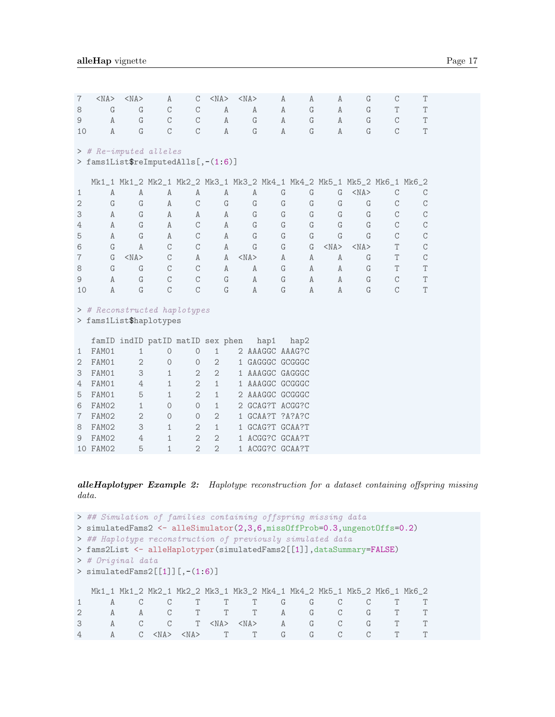| $\overline{7}$ | $<$ NA $>$                                                                                                                                   | $<$ NA $>$ | A             | $\mathcal{C}$                    | $<$ NA $>$ | $<$ NA $>$ | A            | A                 | A            | G          | C             | T             |  |  |  |
|----------------|----------------------------------------------------------------------------------------------------------------------------------------------|------------|---------------|----------------------------------|------------|------------|--------------|-------------------|--------------|------------|---------------|---------------|--|--|--|
| 8              | G                                                                                                                                            | G          | C             | C                                | A          | A          | Α            | G                 | A            | G          | T             | T             |  |  |  |
| 9              | $\mathbf{A}$                                                                                                                                 | G          | $\mathsf C$   | $\mathcal{C}$                    | Α          | G          | A            | G                 | A            | G          | C             | T             |  |  |  |
| 10             | A                                                                                                                                            | G          | $\mathcal{C}$ | C                                | A          | G          | A            | G                 | A            | G          | C             | T             |  |  |  |
|                | > # Re-imputed alleles                                                                                                                       |            |               |                                  |            |            |              |                   |              |            |               |               |  |  |  |
|                | > fams1List\$reImputedAlls[,-(1:6)]                                                                                                          |            |               |                                  |            |            |              |                   |              |            |               |               |  |  |  |
|                | Mk1_1 Mk1_2 Mk2_1 Mk2_2 Mk3_1 Mk3_2 Mk4_1 Mk4_2 Mk5_1 Mk5_2 Mk6_1 Mk6_2<br>G<br>G<br>$<$ NA $>$<br>A<br>A<br>G<br>Α<br>Α<br>Α<br>С<br>C<br>Α |            |               |                                  |            |            |              |                   |              |            |               |               |  |  |  |
| 1              |                                                                                                                                              |            |               |                                  |            |            |              |                   |              |            |               |               |  |  |  |
| $\overline{2}$ | G                                                                                                                                            | G          | Α             | $\mathcal{C}$                    | G          | G          | G            | G                 | G            | G          | С             | C             |  |  |  |
| 3              | A                                                                                                                                            | G          | A             | Α                                | Α          | G          | G            | G                 | G            | G          | С             | C             |  |  |  |
| 4              | $\mathbb{A}$                                                                                                                                 | G          | Α             | C                                | Α          | G          | G            | G                 | G            | G          | C             | C             |  |  |  |
| 5              | G<br>G<br>C<br>$\mathcal{C}$<br>$\mathbb{A}$<br>A<br>C<br>A<br>G<br>G<br>G<br>G                                                              |            |               |                                  |            |            |              |                   |              |            |               |               |  |  |  |
| 6              | G                                                                                                                                            | A          | $\mathcal{C}$ | $\mathcal{C}$                    | A          | G          | G            | G                 | $<$ NA $>$   | $<$ NA $>$ | T             | $\mathcal{C}$ |  |  |  |
| 7              | G                                                                                                                                            | $<$ NA $>$ | $\mathcal{C}$ | A                                | A          | $<$ NA $>$ | A            | A                 | $\mathbb{A}$ | G          | T             | C             |  |  |  |
| 8              | G                                                                                                                                            | G          | $\mathcal{C}$ | C                                | A          | A          | G            | A                 | A            | G          | T             | T             |  |  |  |
| 9              | $\mathbb{A}$                                                                                                                                 | G          | $\mathsf C$   | $\mathcal{C}$                    | G          | Α          | G            | A                 | A            | G          | C             | T             |  |  |  |
| 10             | A                                                                                                                                            | G          | $\mathcal{C}$ | $\mathcal{C}$                    | G          | A          | G            | A                 | $\mathbb{A}$ | G          | $\mathcal{C}$ | T             |  |  |  |
|                | > # Reconstructed haplotypes                                                                                                                 |            |               |                                  |            |            |              |                   |              |            |               |               |  |  |  |
|                | > fams1List\$haplotypes                                                                                                                      |            |               |                                  |            |            |              |                   |              |            |               |               |  |  |  |
|                |                                                                                                                                              |            |               | famID indID patID matID gov phon |            |            | $h \circ n1$ | $h \circ n \circ$ |              |            |               |               |  |  |  |

|                             |          |              |              | famID indID patID matID sex phen |                             | hap1            | hap2 |
|-----------------------------|----------|--------------|--------------|----------------------------------|-----------------------------|-----------------|------|
|                             | FAM01    | $\mathbf{1}$ | $\Omega$     | $\Omega$                         | 1                           | 2 AAAGGC AAAG?C |      |
| $\mathcal{D}_{\mathcal{L}}$ | FAM01    | $\mathbf{2}$ | $\Omega$     | $\Omega$                         | $\mathcal{D}_{\mathcal{L}}$ | 1 GAGGGC GCGGGC |      |
| 3                           | FAM01    | 3            | $\mathbf{1}$ | $\overline{2}$                   | $\mathbf{2}$                | 1 AAAGGC GAGGGC |      |
| 4                           | FAM01    | 4            | $\mathbf{1}$ | $\mathfrak{D}$                   | $\mathbf{1}$                | 1 AAAGGC GCGGGC |      |
| 5                           | FAM01    | 5            | 1            | $\mathfrak{D}$                   | 1                           | 2 AAAGGC GCGGGC |      |
| 6                           | FAM02    | $\mathbf{1}$ | $\Omega$     | $\Omega$                         | 1                           | 2 GCAG?T ACGG?C |      |
|                             | FAM02    | $\mathbf{2}$ | $\Omega$     | $\Omega$                         | $\overline{2}$              | 1 GCAA?T ?A?A?C |      |
| 8                           | FAM02    | 3            | $\mathbf{1}$ | $\mathcal{D}_{1}$                | 1                           | 1 GCAG?T GCAA?T |      |
| $\Omega$                    | FAM02    | 4            | $\mathbf{1}$ | $\mathcal{D}_{1}$                | $\mathcal{D}_{\mathcal{L}}$ | 1 ACGG?C GCAA?T |      |
|                             | 10 FAM02 | 5            | 1            | $\mathcal{D}$                    | $\overline{2}$              | 1 ACGG?C GCAA?T |      |

alleHaplotyper Example 2: Haplotype reconstruction for a dataset containing offspring missing data.

```
> ## Simulation of families containing offspring missing data
> simulatedFams2 <- alleSimulator(2,3,6,missOffProb=0.3,ungenotOffs=0.2)
> ## Haplotype reconstruction of previously simulated data
> fams2List <- alleHaplotyper(simulatedFams2[[1]],dataSummary=FALSE)
> # Original data
> simulatedFams2[[1]][,-(1:6)]
  Mk1_1 Mk1_2 Mk2_1 Mk2_2 Mk3_1 Mk3_2 Mk4_1 Mk4_2 Mk5_1 Mk5_2 Mk6_1 Mk6_2
1 A C C T T T G G C C T T
2 A A C T T T A G C G T T
3 A C C T <NA> <NA> A G C G T T
4 A C <NA> <NA> T T G G C C T T
```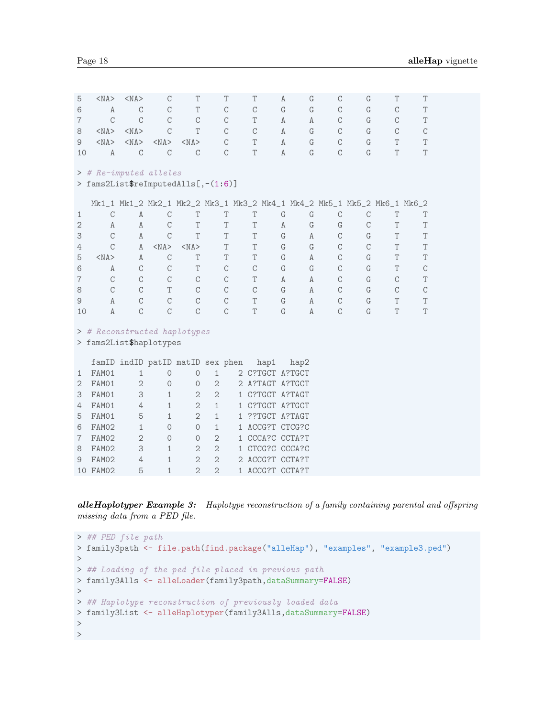| 5              | $<$ NA $>$                          | $<$ NA $>$     | C                                                                       | T              |                | T             | T               | Α           | G            | $\mathcal{C}$ | G             | T                         | T           |  |
|----------------|-------------------------------------|----------------|-------------------------------------------------------------------------|----------------|----------------|---------------|-----------------|-------------|--------------|---------------|---------------|---------------------------|-------------|--|
| 6              | Α                                   | $\mathbf C$    | $\mathsf C$                                                             | T              |                | $\mathbf C$   | $\mathsf C$     | G           | G            | $\mathbf C$   | G             | $\mathop{\rm C}\nolimits$ | T           |  |
| $\overline{7}$ | $\mathcal{C}$                       | $\mathcal{C}$  | $\mathcal{C}$                                                           | $\mathcal{C}$  |                | $\mathcal{C}$ | T               | Α           | Α            | $\mathbf C$   | G             | $\mathcal{C}$             | T           |  |
| 8              | $<$ NA $>$                          | $<$ NA $>$     | $\mathcal{C}$                                                           | T              |                | $\mathbf C$   | $\mathcal{C}$   | A           | G            | $\mathbf C$   | G             | $\mathop{\rm C}\nolimits$ | $\mathsf C$ |  |
| 9              | $<$ NA $>$                          | $<$ NA $>$     | $<$ NA $>$                                                              | $<$ NA $>$     |                | C             | T               | Α           | G            | $\mathbf C$   | G             | T                         | T           |  |
| 10             | $\mathbb A$                         | $\mathbf C$    | $\mathcal{C}$                                                           | $\mathcal{C}$  |                | $\mathcal{C}$ | T               | A           | G            | $\mathcal{C}$ | G             | T                         | T           |  |
|                |                                     |                |                                                                         |                |                |               |                 |             |              |               |               |                           |             |  |
|                | > # Re-imputed alleles              |                |                                                                         |                |                |               |                 |             |              |               |               |                           |             |  |
|                | > fams2List\$reImputedAlls[,-(1:6)] |                |                                                                         |                |                |               |                 |             |              |               |               |                           |             |  |
|                |                                     |                | Mk1_1 Mk1_2 Mk2_1 Mk2_2 Mk3_1 Mk3_2 Mk4_1 Mk4_2 Mk5_1 Mk5_2 Mk6_1 Mk6_2 |                |                |               |                 |             |              |               |               |                           |             |  |
| 1              | $\mathcal{C}$                       | $\mathbb A$    | $\mathbf C$                                                             | T              |                | T             | T               | $\mathbf G$ | G            | $\mathsf C$   | $\mathcal{C}$ | T                         | T           |  |
| $\mathbf{2}$   | Α                                   | A              | $\mathbf C$                                                             | T              |                | T             | T               | $\,$ A      | G            | G             | $\mathcal{C}$ | T                         | T           |  |
| 3              | $\mathcal{C}$                       | $\mathbf{A}$   | $\mathcal{C}$                                                           | T              |                | $\mathbf T$   | T               | $\mathbf G$ | $\mathbb A$  | $\mathbf C$   | G             | $\mathbf T$               | T           |  |
| 4              | $\mathcal{C}$                       | A              | $<$ NA $>$                                                              | $<$ NA $>$     |                | T             | T               | $\mathbf G$ | G            | $\mathcal{C}$ | $\mathcal{C}$ | T                         | T           |  |
| 5              | $<$ NA $>$                          | $\mathbf{A}$   | $\mathbf C$                                                             | T              |                | T             | T               | G           | $\mathbb A$  | $\mathcal{C}$ | G             | T                         | T           |  |
| 6              | $\mathbf{A}$                        | $\rm C$        | $\mathbf C$                                                             | T              |                | $\mathcal{C}$ | $\mathcal{C}$   | G           | G            | $\mathcal{C}$ | G             | $\mathbf T$               | $\mathbf C$ |  |
| $\overline{7}$ | $\mathcal{C}$                       | $\mathcal{C}$  | $\mathcal{C}$                                                           | $\mathcal{C}$  |                | $\mathcal{C}$ | T               | A           | A            | $\mathcal{C}$ | G             | $\mathcal{C}$             | T           |  |
| 8              | $\mathbf C$                         | $\rm C$        | $\mathbf T$                                                             | $\mathbf C$    |                | $\mathbf C$   | $\rm{C}$        | $\mathbf G$ | $\mathbf{A}$ | $\mathbf C$   | $\mathbf G$   | $\mathop{\rm C}\nolimits$ | $\mathsf C$ |  |
| 9              | Α                                   | $\rm{C}$       | $\mathbf C$                                                             | $\mathbf C$    |                | $\mathbf C$   | T               | $\mathbf G$ | A            | $\mathbf C$   | $\mathbf G$   | T                         | T           |  |
| 10             | $\mathbb A$                         | $\mathbf C$    | $\mathbf C$                                                             | $\mathbf C$    |                | $\mathcal{C}$ | T               | $\mathbf G$ | $\,$ A       | $\mathbf C$   | $\mathbf G$   | T                         | T           |  |
|                |                                     |                |                                                                         |                |                |               |                 |             |              |               |               |                           |             |  |
|                | > # Reconstructed haplotypes        |                |                                                                         |                |                |               |                 |             |              |               |               |                           |             |  |
|                | > fams2List\$haplotypes             |                |                                                                         |                |                |               |                 |             |              |               |               |                           |             |  |
|                |                                     |                | famID indID patID matID sex phen                                        |                |                |               | hap1            |             | hap2         |               |               |                           |             |  |
| 1              | FAM01                               | 1              | $\circ$                                                                 | $\circ$        | $\mathbf{1}$   |               | 2 C?TGCT A?TGCT |             |              |               |               |                           |             |  |
| 2              | FAM01                               | $\mathbf{2}$   | $\circ$                                                                 | 0              | $\mathbf{2}$   |               | 2 A?TAGT A?TGCT |             |              |               |               |                           |             |  |
| 3              | FAM01                               | 3              | 1                                                                       | $\sqrt{2}$     | $\overline{2}$ |               | 1 C?TGCT A?TAGT |             |              |               |               |                           |             |  |
| 4              | FAM01                               | 4              | $\mathbf{1}$                                                            | $\overline{2}$ | $\mathbf{1}$   |               | 1 C?TGCT A?TGCT |             |              |               |               |                           |             |  |
| 5              | FAM01                               | 5              | $\mathbf{1}$                                                            | $\sqrt{2}$     | $\mathbf{1}$   |               | 1 ??TGCT A?TAGT |             |              |               |               |                           |             |  |
| 6              | FAM02                               | $\mathbf{1}$   | $\circ$                                                                 | $\circ$        | $\mathbf{1}$   |               | 1 ACCG?T CTCG?C |             |              |               |               |                           |             |  |
| $\overline{7}$ | FAM02                               | $\overline{2}$ | $\circ$                                                                 | $\circ$        | $\mathbf{2}$   |               | 1 CCCA?C CCTA?T |             |              |               |               |                           |             |  |
| 8              | FAM02                               | 3              | 1                                                                       | $\mathbf{2}$   | $\mathbf{2}$   |               | 1 CTCG?C CCCA?C |             |              |               |               |                           |             |  |
| 9              | FAM02                               | 4              | $\mathbf{1}$                                                            | $\overline{2}$ | $\overline{2}$ |               | 2 ACCG?T CCTA?T |             |              |               |               |                           |             |  |

alleHaplotyper Example 3: Haplotype reconstruction of a family containing parental and offspring missing data from a PED file.

10 FAM02 5 1 2 2 1 ACCG?T CCTA?T

```
> ## PED file path
> family3path <- file.path(find.package("alleHap"), "examples", "example3.ped")
>
> ## Loading of the ped file placed in previous path
> family3Alls <- alleLoader(family3path,dataSummary=FALSE)
>
> ## Haplotype reconstruction of previously loaded data
> family3List <- alleHaplotyper(family3Alls,dataSummary=FALSE)
\,>>
```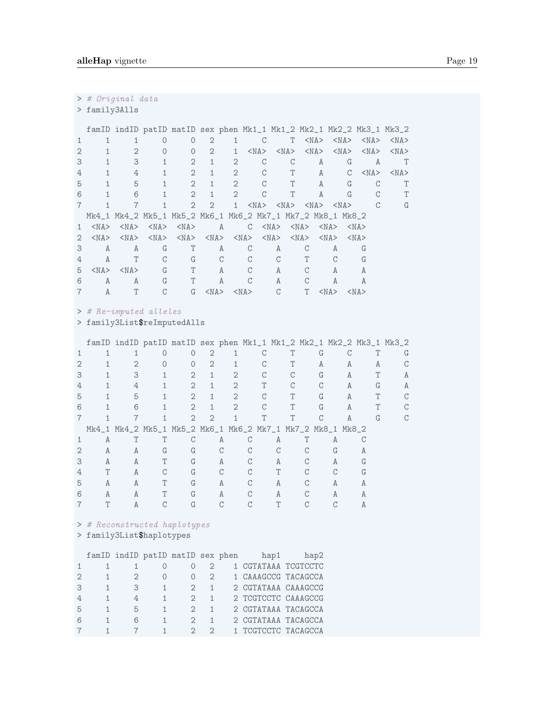> # Original data

> family3Alls

|                   |            |            |            | famID indID patID matID sex phen Mk1_1 Mk1_2 Mk2_1 Mk2_2 Mk3_1 Mk3_2 |                |                |               |            |                 |              |            |            |            |            |            |
|-------------------|------------|------------|------------|----------------------------------------------------------------------|----------------|----------------|---------------|------------|-----------------|--------------|------------|------------|------------|------------|------------|
|                   |            |            |            | $\Omega$                                                             | $\mathbf{2}$   |                | $\mathcal{C}$ |            | T.              | $<$ NA $>$   |            | $<$ NA $>$ | $<$ NA $>$ |            | $<$ NA $>$ |
| $\mathcal{D}_{1}$ |            | 2          | $\bigcap$  | $\Omega$                                                             | $\overline{2}$ | 1              | $<$ NA $>$    | $<$ NA $>$ |                 | $<$ NA $>$   |            | $<$ NA $>$ | $<$ NA $>$ |            | $<$ NA $>$ |
| 3                 |            | 3          |            | $\mathfrak{D}$                                                       | 1              | $\mathbf{2}$   | C             |            | C               | A            |            | G          |            | A          | T          |
| 4                 |            | 4          |            | $\mathfrak{D}$                                                       | 1              | $\mathfrak{D}$ | $\mathcal{C}$ |            | Τ               | A            |            | C          |            | $<$ NA $>$ | $<$ NA $>$ |
| 5                 |            | 5          |            | $\overline{2}$                                                       | 1              | $\mathfrak{D}$ | C             |            | Τ               | A            |            | G          |            |            | Τ          |
| 6                 |            | 6          |            | $\mathfrak{D}$                                                       | 1              | $\mathbf{2}$   | C             |            | Τ               | $\mathbf{A}$ |            | $\Gamma$   |            |            | T          |
|                   |            | 7          |            | $\mathfrak{D}$                                                       | $\mathfrak{D}$ | $\mathbf{1}$   | $<$ NA $>$    |            | $<$ NA> $<$ NA> |              |            | $<$ NA $>$ |            |            | G          |
|                   |            |            |            | Mk4_1 Mk4_2 Mk5_1 Mk5_2 Mk6_1 Mk6_2 Mk7_1 Mk7_2 Mk8_1 Mk8_2          |                |                |               |            |                 |              |            |            |            |            |            |
|                   | $<$ NA $>$ | $<$ NA $>$ | $<$ NA $>$ | $<$ NA $>$                                                           |                | A              | C             | $<$ NA $>$ | $<$ NA $>$      |              | $<$ NA $>$ |            | $<$ NA $>$ |            |            |
| 2                 | $<$ NA $>$ | $<$ NA $>$ | $<$ NA $>$ | $<$ NA> $<$ NA> $<$ NA> $<$ NA> $>$                                  |                |                |               | $<$ NA $>$ | $<$ NA $>$      |              | $<$ NA $>$ |            | $<$ NA $>$ |            |            |
| 3                 | Α          | Α          | G          | T                                                                    |                | $\mathbb{A}$   | С             | Α          |                 |              | A          |            | G          |            |            |
| 4                 | Α          | T          | C          | G                                                                    |                | $\mathcal{C}$  | C             | C          | T               |              | C          |            | G          |            |            |
| 5                 | $<$ NA $>$ | $<$ NA $>$ | G          | T                                                                    |                | A              | C             | A          | C               |              | A          |            | А          |            |            |
| 6                 | A          | A          | G          | T                                                                    |                | Α              |               | A          |                 |              | Α          |            | Α          |            |            |
|                   | Α          | T          | С          | G                                                                    | $<$ NA $>$     |                | $<$ NA $>$    | C          | T               |              | $<$ NA $>$ |            | $<$ NA $>$ |            |            |
|                   |            |            |            |                                                                      |                |                |               |            |                 |              |            |            |            |            |            |

> # Re-imputed alleles

> family3List\$reImputedAlls

|   |   |              |   |                                                             |                |                             |    |   |   |   |   | famID indID patID matID sex phen Mk1_1 Mk1_2 Mk2_1 Mk2_2 Mk3_1 Mk3_2 |   |
|---|---|--------------|---|-------------------------------------------------------------|----------------|-----------------------------|----|---|---|---|---|----------------------------------------------------------------------|---|
|   |   |              |   | Ω                                                           |                |                             |    |   |   | G |   |                                                                      |   |
|   |   | 2            |   | $\Omega$                                                    | 2              |                             |    |   |   | A |   | A<br>A                                                               |   |
|   |   | 3            |   | 2                                                           | 1              | 2                           |    |   | C | G |   | A                                                                    | А |
|   |   | 4            |   | $\mathfrak{D}$                                              | 1              | $\mathcal{D}_{\mathcal{L}}$ |    | Т |   |   |   | A<br>G                                                               |   |
| 5 |   | 5            |   | $\mathfrak{D}$                                              |                | $\mathcal{D}_{\mathcal{L}}$ |    |   |   | G |   | A                                                                    |   |
| 6 |   | 6            |   | $\mathfrak{D}$                                              | 1              | $\mathcal{D}_{\mathcal{L}}$ |    | C |   | G |   | A                                                                    |   |
|   |   | 7            |   | $\mathfrak{D}$                                              | $\mathfrak{D}$ |                             |    | Т |   |   |   | A                                                                    |   |
|   |   |              |   | Mk4_1 Mk4_2 Mk5_1 Mk5_2 Mk6_1 Mk6_2 Mk7_1 Mk7_2 Mk8_1 Mk8_2 |                |                             |    |   |   |   |   |                                                                      |   |
|   | A |              |   |                                                             |                | A                           | C  | A |   |   | A |                                                                      |   |
|   | A | A            | G | G                                                           |                |                             |    |   |   |   |   |                                                                      |   |
|   | A | $\mathbb{A}$ |   | G                                                           |                | A                           | C. | A |   |   | A |                                                                      |   |
|   | T | $\mathbb{A}$ | C | G                                                           |                |                             |    | T |   |   |   |                                                                      |   |
| 5 | A | Α            |   | G                                                           |                | A                           |    | Α |   |   | A |                                                                      |   |
| 6 | A | A            |   | G                                                           |                | A                           |    | A |   |   | A |                                                                      |   |
|   |   |              |   |                                                             |                |                             |    |   |   |   |   |                                                                      |   |

### > # Reconstructed haplotypes

> family3List\$haplotypes

|               |              |   |   | famID indID patID matID sex phen |               | hap1                | hap2 |
|---------------|--------------|---|---|----------------------------------|---------------|---------------------|------|
|               |              |   |   |                                  |               | 1 CGTATAAA TCGTCCTC |      |
| $\mathcal{D}$ |              |   |   | $\bigcap$                        | $\mathcal{D}$ | 1 CAAAGCCG TACAGCCA |      |
| 3             | 1            | 3 | 1 |                                  | $\mathbf{1}$  | 2 CGTATAAA CAAAGCCG |      |
| 4             | 1            |   | 1 |                                  | 1             | 2 TCGTCCTC CAAAGCCG |      |
| 5             | 1            | 5 |   |                                  | 1             | 2 CGTATAAA TACAGCCA |      |
| 6             | 1            | 6 |   |                                  | -1            | 2 CGTATAAA TACAGCCA |      |
|               | $\mathbf{1}$ |   |   |                                  |               | 1 TCGTCCTC TACAGCCA |      |